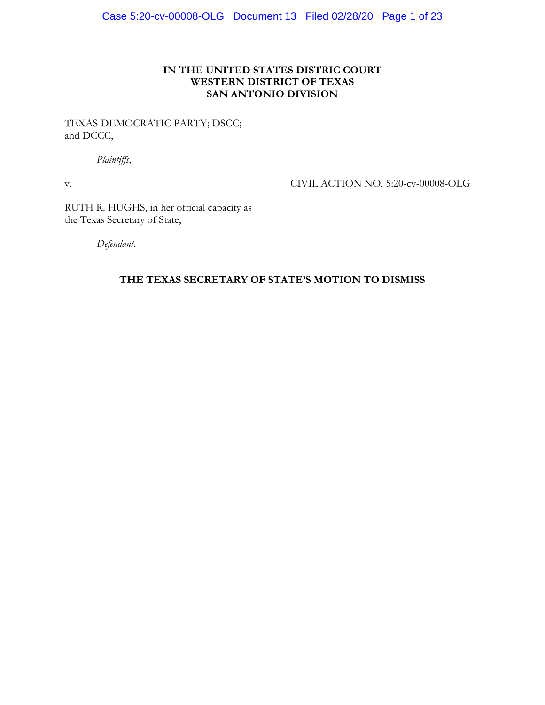# **IN THE UNITED STATES DISTRIC COURT WESTERN DISTRICT OF TEXAS SAN ANTONIO DIVISION**

TEXAS DEMOCRATIC PARTY; DSCC; and DCCC,

*Plaintiffs*,

v.

CIVIL ACTION NO. 5:20-cv-00008-OLG

RUTH R. HUGHS, in her official capacity as the Texas Secretary of State,

*Defendant.*

# **THE TEXAS SECRETARY OF STATE'S MOTION TO DISMISS**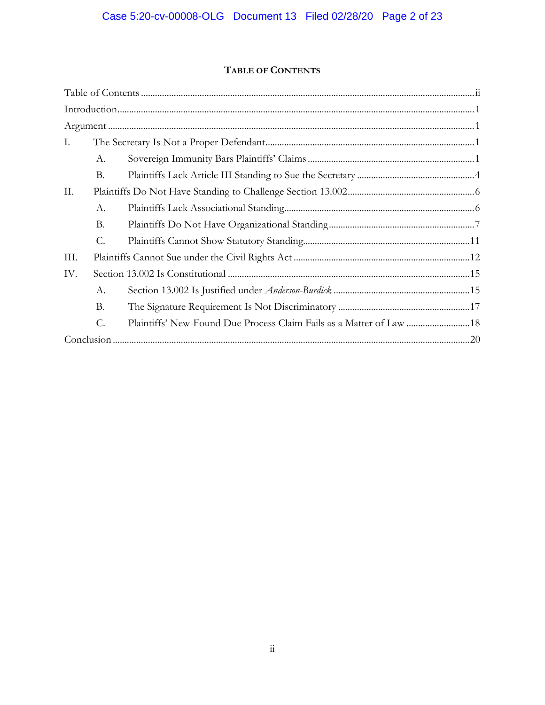# **TABLE OF CONTENTS**

| L.   |                 |  |
|------|-----------------|--|
|      | А.              |  |
|      | <b>B.</b>       |  |
| П.   |                 |  |
|      | А.              |  |
|      | <b>B.</b>       |  |
|      | $\mathcal{C}$ . |  |
| III. |                 |  |
| IV.  |                 |  |
|      | А.              |  |
|      | <b>B.</b>       |  |
|      | C.              |  |
|      |                 |  |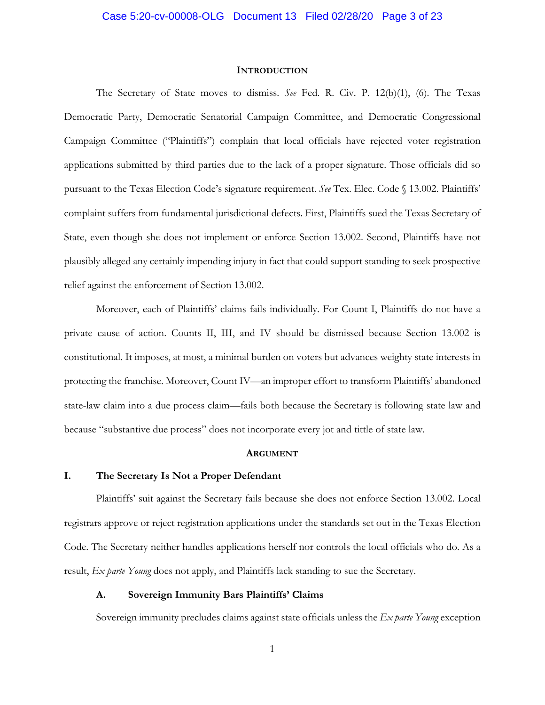#### **INTRODUCTION**

The Secretary of State moves to dismiss. *See* Fed. R. Civ. P. 12(b)(1), (6). The Texas Democratic Party, Democratic Senatorial Campaign Committee, and Democratic Congressional Campaign Committee ("Plaintiffs") complain that local officials have rejected voter registration applications submitted by third parties due to the lack of a proper signature. Those officials did so pursuant to the Texas Election Code's signature requirement. *See* Tex. Elec. Code § 13.002. Plaintiffs' complaint suffers from fundamental jurisdictional defects. First, Plaintiffs sued the Texas Secretary of State, even though she does not implement or enforce Section 13.002. Second, Plaintiffs have not plausibly alleged any certainly impending injury in fact that could support standing to seek prospective relief against the enforcement of Section 13.002.

Moreover, each of Plaintiffs' claims fails individually. For Count I, Plaintiffs do not have a private cause of action. Counts II, III, and IV should be dismissed because Section 13.002 is constitutional. It imposes, at most, a minimal burden on voters but advances weighty state interests in protecting the franchise. Moreover, Count IV—an improper effort to transform Plaintiffs' abandoned state-law claim into a due process claim—fails both because the Secretary is following state law and because "substantive due process" does not incorporate every jot and tittle of state law.

#### **ARGUMENT**

#### **I. The Secretary Is Not a Proper Defendant**

Plaintiffs' suit against the Secretary fails because she does not enforce Section 13.002. Local registrars approve or reject registration applications under the standards set out in the Texas Election Code. The Secretary neither handles applications herself nor controls the local officials who do. As a result, *Ex parte Young* does not apply, and Plaintiffs lack standing to sue the Secretary.

#### **A. Sovereign Immunity Bars Plaintiffs' Claims**

Sovereign immunity precludes claims against state officials unless the *Ex parte Young* exception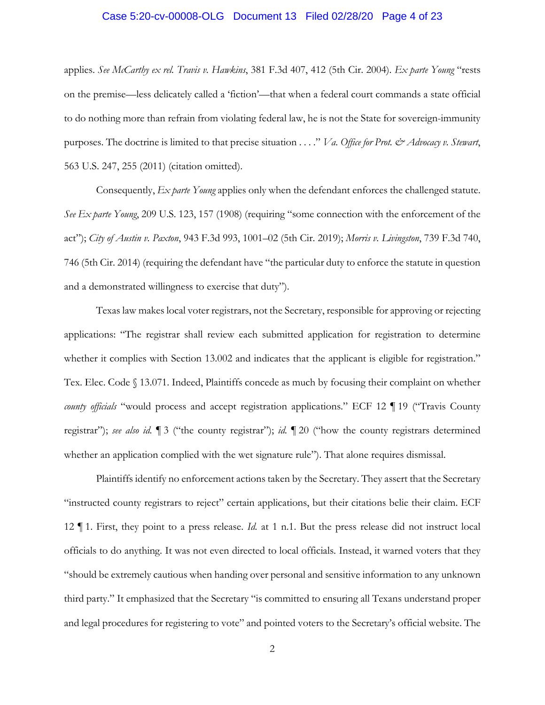#### Case 5:20-cv-00008-OLG Document 13 Filed 02/28/20 Page 4 of 23

applies. *See McCarthy ex rel. Travis v. Hawkins*, 381 F.3d 407, 412 (5th Cir. 2004). *Ex parte Young* "rests on the premise—less delicately called a 'fiction'—that when a federal court commands a state official to do nothing more than refrain from violating federal law, he is not the State for sovereign-immunity purposes. The doctrine is limited to that precise situation . . . ." *Va. Office for Prot. & Advocacy v. Stewart*, 563 U.S. 247, 255 (2011) (citation omitted).

Consequently, *Ex parte Young* applies only when the defendant enforces the challenged statute. *See Ex parte Young*, 209 U.S. 123, 157 (1908) (requiring "some connection with the enforcement of the act"); *City of Austin v. Paxton*, 943 F.3d 993, 1001–02 (5th Cir. 2019); *Morris v. Livingston*, 739 F.3d 740, 746 (5th Cir. 2014) (requiring the defendant have "the particular duty to enforce the statute in question and a demonstrated willingness to exercise that duty").

Texas law makes local voter registrars, not the Secretary, responsible for approving or rejecting applications: "The registrar shall review each submitted application for registration to determine whether it complies with Section 13.002 and indicates that the applicant is eligible for registration." Tex. Elec. Code § 13.071. Indeed, Plaintiffs concede as much by focusing their complaint on whether *county officials* "would process and accept registration applications." ECF 12 ¶ 19 ("Travis County registrar"); *see also id.* ¶ 3 ("the county registrar"); *id.* ¶ 20 ("how the county registrars determined whether an application complied with the wet signature rule"). That alone requires dismissal.

Plaintiffs identify no enforcement actions taken by the Secretary. They assert that the Secretary "instructed county registrars to reject" certain applications, but their citations belie their claim. ECF 12 ¶ 1. First, they point to a press release. *Id.* at 1 n.1. But the press release did not instruct local officials to do anything. It was not even directed to local officials. Instead, it warned voters that they "should be extremely cautious when handing over personal and sensitive information to any unknown third party." It emphasized that the Secretary "is committed to ensuring all Texans understand proper and legal procedures for registering to vote" and pointed voters to the Secretary's official website. The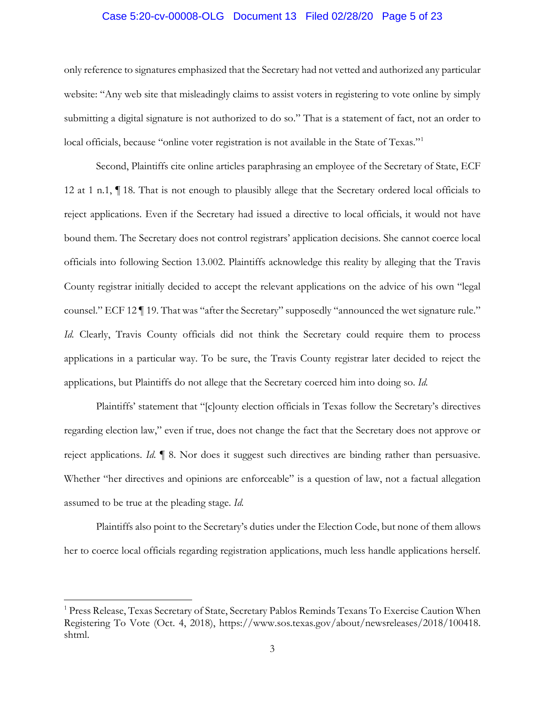### Case 5:20-cv-00008-OLG Document 13 Filed 02/28/20 Page 5 of 23

only reference to signatures emphasized that the Secretary had not vetted and authorized any particular website: "Any web site that misleadingly claims to assist voters in registering to vote online by simply submitting a digital signature is not authorized to do so." That is a statement of fact, not an order to local officials, because "online voter registration is not available in the State of Texas."<sup>1</sup>

Second, Plaintiffs cite online articles paraphrasing an employee of the Secretary of State, ECF 12 at 1 n.1, ¶ 18. That is not enough to plausibly allege that the Secretary ordered local officials to reject applications. Even if the Secretary had issued a directive to local officials, it would not have bound them. The Secretary does not control registrars' application decisions. She cannot coerce local officials into following Section 13.002. Plaintiffs acknowledge this reality by alleging that the Travis County registrar initially decided to accept the relevant applications on the advice of his own "legal counsel." ECF 12 ¶ 19. That was "after the Secretary" supposedly "announced the wet signature rule." *Id.* Clearly, Travis County officials did not think the Secretary could require them to process applications in a particular way. To be sure, the Travis County registrar later decided to reject the applications, but Plaintiffs do not allege that the Secretary coerced him into doing so. *Id.*

Plaintiffs' statement that "[c]ounty election officials in Texas follow the Secretary's directives regarding election law," even if true, does not change the fact that the Secretary does not approve or reject applications. *Id.* ¶ 8. Nor does it suggest such directives are binding rather than persuasive. Whether "her directives and opinions are enforceable" is a question of law, not a factual allegation assumed to be true at the pleading stage. *Id.*

Plaintiffs also point to the Secretary's duties under the Election Code, but none of them allows her to coerce local officials regarding registration applications, much less handle applications herself.

 $\overline{a}$ 

<sup>&</sup>lt;sup>1</sup> Press Release, Texas Secretary of State, Secretary Pablos Reminds Texans To Exercise Caution When Registering To Vote (Oct. 4, 2018), https://www.sos.texas.gov/about/newsreleases/2018/100418. shtml.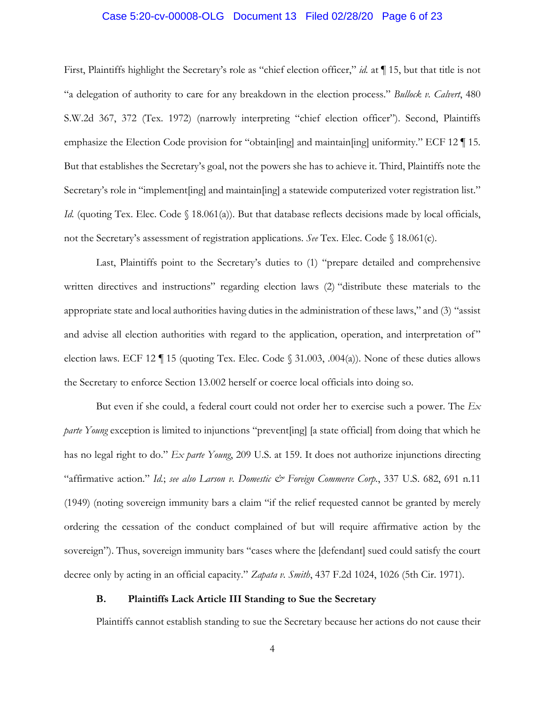### Case 5:20-cv-00008-OLG Document 13 Filed 02/28/20 Page 6 of 23

First, Plaintiffs highlight the Secretary's role as "chief election officer," *id.* at ¶ 15, but that title is not "a delegation of authority to care for any breakdown in the election process." *Bullock v. Calvert*, 480 S.W.2d 367, 372 (Tex. 1972) (narrowly interpreting "chief election officer"). Second, Plaintiffs emphasize the Election Code provision for "obtain[ing] and maintain[ing] uniformity." ECF 12 ¶ 15. But that establishes the Secretary's goal, not the powers she has to achieve it. Third, Plaintiffs note the Secretary's role in "implement [ing] and maintain [ing] a statewide computerized voter registration list." *Id.* (quoting Tex. Elec. Code § 18.061(a)). But that database reflects decisions made by local officials, not the Secretary's assessment of registration applications. *See* Tex. Elec. Code § 18.061(c).

Last, Plaintiffs point to the Secretary's duties to (1) "prepare detailed and comprehensive written directives and instructions" regarding election laws (2) "distribute these materials to the appropriate state and local authorities having duties in the administration of these laws," and (3) "assist and advise all election authorities with regard to the application, operation, and interpretation of" election laws. ECF 12  $\P$  15 (quoting Tex. Elec. Code  $\S$  31.003, .004(a)). None of these duties allows the Secretary to enforce Section 13.002 herself or coerce local officials into doing so.

But even if she could, a federal court could not order her to exercise such a power. The *Ex parte Young* exception is limited to injunctions "prevent[ing] [a state official] from doing that which he has no legal right to do." *Ex parte Young*, 209 U.S. at 159. It does not authorize injunctions directing "affirmative action." *Id.*; *see also Larson v. Domestic & Foreign Commerce Corp.*, 337 U.S. 682, 691 n.11 (1949) (noting sovereign immunity bars a claim "if the relief requested cannot be granted by merely ordering the cessation of the conduct complained of but will require affirmative action by the sovereign"). Thus, sovereign immunity bars "cases where the [defendant] sued could satisfy the court decree only by acting in an official capacity." *Zapata v. Smith*, 437 F.2d 1024, 1026 (5th Cir. 1971).

## **B. Plaintiffs Lack Article III Standing to Sue the Secretary**

Plaintiffs cannot establish standing to sue the Secretary because her actions do not cause their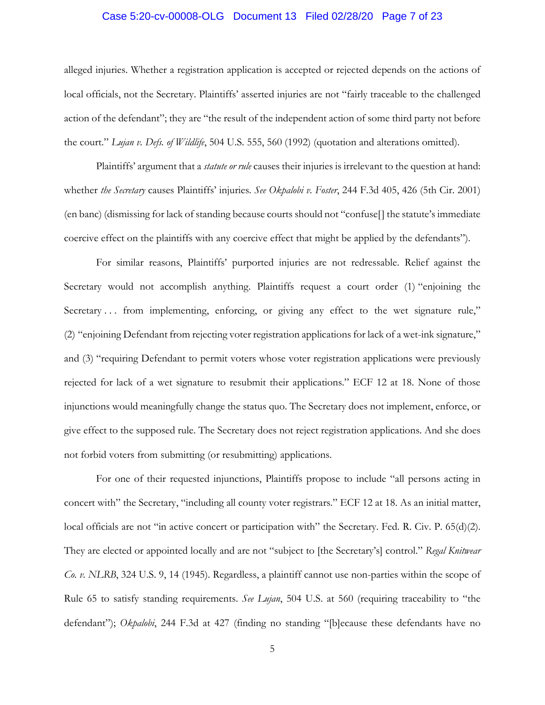### Case 5:20-cv-00008-OLG Document 13 Filed 02/28/20 Page 7 of 23

alleged injuries. Whether a registration application is accepted or rejected depends on the actions of local officials, not the Secretary. Plaintiffs' asserted injuries are not "fairly traceable to the challenged action of the defendant"; they are "the result of the independent action of some third party not before the court." *Lujan v. Defs. of Wildlife*, 504 U.S. 555, 560 (1992) (quotation and alterations omitted).

Plaintiffs' argument that a *statute or rule* causes their injuries is irrelevant to the question at hand: whether *the Secretary* causes Plaintiffs' injuries. *See Okpalobi v. Foster*, 244 F.3d 405, 426 (5th Cir. 2001) (en banc) (dismissing for lack of standing because courts should not "confuse[] the statute's immediate coercive effect on the plaintiffs with any coercive effect that might be applied by the defendants").

For similar reasons, Plaintiffs' purported injuries are not redressable. Relief against the Secretary would not accomplish anything. Plaintiffs request a court order (1) "enjoining the Secretary ... from implementing, enforcing, or giving any effect to the wet signature rule," (2) "enjoining Defendant from rejecting voter registration applications for lack of a wet-ink signature," and (3) "requiring Defendant to permit voters whose voter registration applications were previously rejected for lack of a wet signature to resubmit their applications." ECF 12 at 18. None of those injunctions would meaningfully change the status quo. The Secretary does not implement, enforce, or give effect to the supposed rule. The Secretary does not reject registration applications. And she does not forbid voters from submitting (or resubmitting) applications.

For one of their requested injunctions, Plaintiffs propose to include "all persons acting in concert with" the Secretary, "including all county voter registrars." ECF 12 at 18. As an initial matter, local officials are not "in active concert or participation with" the Secretary. Fed. R. Civ. P. 65(d)(2). They are elected or appointed locally and are not "subject to [the Secretary's] control." *Regal Knitwear Co. v. NLRB*, 324 U.S. 9, 14 (1945). Regardless, a plaintiff cannot use non-parties within the scope of Rule 65 to satisfy standing requirements. *See Lujan*, 504 U.S. at 560 (requiring traceability to "the defendant"); *Okpalobi*, 244 F.3d at 427 (finding no standing "[b]ecause these defendants have no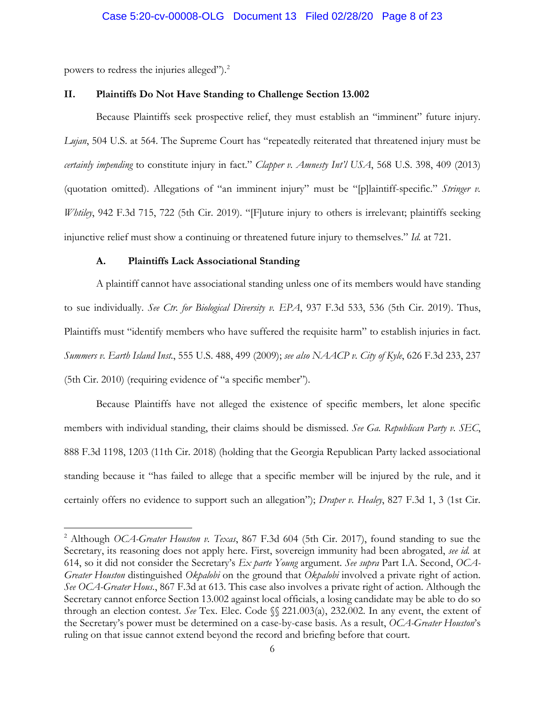powers to redress the injuries alleged").2

 $\overline{a}$ 

#### **II. Plaintiffs Do Not Have Standing to Challenge Section 13.002**

Because Plaintiffs seek prospective relief, they must establish an "imminent" future injury. *Lujan*, 504 U.S. at 564. The Supreme Court has "repeatedly reiterated that threatened injury must be *certainly impending* to constitute injury in fact." *Clapper v. Amnesty Int'l USA*, 568 U.S. 398, 409 (2013) (quotation omitted). Allegations of "an imminent injury" must be "[p]laintiff-specific." *Stringer v. Whtiley*, 942 F.3d 715, 722 (5th Cir. 2019). "[F]uture injury to others is irrelevant; plaintiffs seeking injunctive relief must show a continuing or threatened future injury to themselves." *Id.* at 721.

#### **A. Plaintiffs Lack Associational Standing**

A plaintiff cannot have associational standing unless one of its members would have standing to sue individually. *See Ctr. for Biological Diversity v. EPA*, 937 F.3d 533, 536 (5th Cir. 2019). Thus, Plaintiffs must "identify members who have suffered the requisite harm" to establish injuries in fact. *Summers v. Earth Island Inst.*, 555 U.S. 488, 499 (2009); *see also NAACP v. City of Kyle*, 626 F.3d 233, 237 (5th Cir. 2010) (requiring evidence of "a specific member").

Because Plaintiffs have not alleged the existence of specific members, let alone specific members with individual standing, their claims should be dismissed. *See Ga. Republican Party v. SEC*, 888 F.3d 1198, 1203 (11th Cir. 2018) (holding that the Georgia Republican Party lacked associational standing because it "has failed to allege that a specific member will be injured by the rule, and it certainly offers no evidence to support such an allegation"); *Draper v. Healey*, 827 F.3d 1, 3 (1st Cir.

<sup>2</sup> Although *OCA-Greater Houston v. Texas*, 867 F.3d 604 (5th Cir. 2017), found standing to sue the Secretary, its reasoning does not apply here. First, sovereign immunity had been abrogated, *see id.* at 614, so it did not consider the Secretary's *Ex parte Young* argument. *See supra* Part I.A. Second, *OCA-Greater Houston* distinguished *Okpalobi* on the ground that *Okpalobi* involved a private right of action. *See OCA-Greater Hous.*, 867 F.3d at 613. This case also involves a private right of action. Although the Secretary cannot enforce Section 13.002 against local officials, a losing candidate may be able to do so through an election contest. *See* Tex. Elec. Code §§ 221.003(a), 232.002. In any event, the extent of the Secretary's power must be determined on a case-by-case basis. As a result, *OCA-Greater Houston*'s ruling on that issue cannot extend beyond the record and briefing before that court.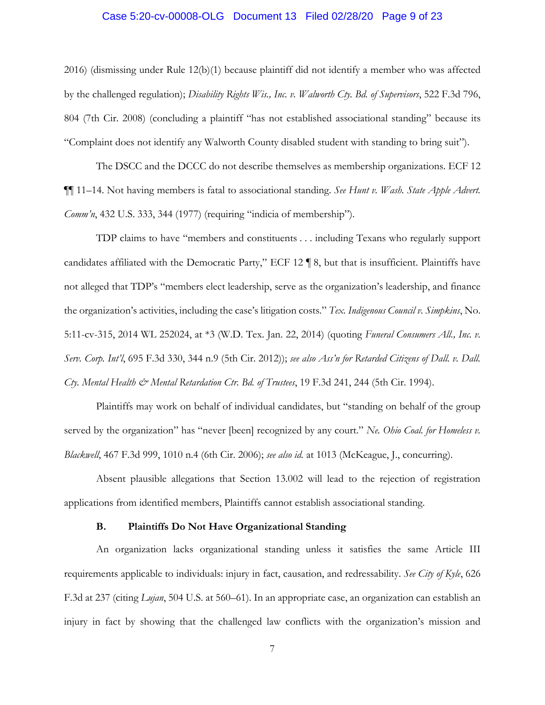# Case 5:20-cv-00008-OLG Document 13 Filed 02/28/20 Page 9 of 23

2016) (dismissing under Rule 12(b)(1) because plaintiff did not identify a member who was affected by the challenged regulation); *Disability Rights Wis., Inc. v. Walworth Cty. Bd. of Supervisors*, 522 F.3d 796, 804 (7th Cir. 2008) (concluding a plaintiff "has not established associational standing" because its "Complaint does not identify any Walworth County disabled student with standing to bring suit").

The DSCC and the DCCC do not describe themselves as membership organizations. ECF 12 ¶¶ 11–14. Not having members is fatal to associational standing. *See Hunt v. Wash. State Apple Advert. Comm'n*, 432 U.S. 333, 344 (1977) (requiring "indicia of membership").

TDP claims to have "members and constituents . . . including Texans who regularly support candidates affiliated with the Democratic Party," ECF 12 ¶ 8, but that is insufficient. Plaintiffs have not alleged that TDP's "members elect leadership, serve as the organization's leadership, and finance the organization's activities, including the case's litigation costs." *Tex. Indigenous Council v. Simpkins*, No. 5:11-cv-315, 2014 WL 252024, at \*3 (W.D. Tex. Jan. 22, 2014) (quoting *Funeral Consumers All., Inc. v. Serv. Corp. Int'l*, 695 F.3d 330, 344 n.9 (5th Cir. 2012)); *see also Ass'n for Retarded Citizens of Dall. v. Dall. Cty. Mental Health & Mental Retardation Ctr. Bd. of Trustees*, 19 F.3d 241, 244 (5th Cir. 1994).

Plaintiffs may work on behalf of individual candidates, but "standing on behalf of the group served by the organization" has "never [been] recognized by any court." *Ne. Ohio Coal. for Homeless v. Blackwell*, 467 F.3d 999, 1010 n.4 (6th Cir. 2006); *see also id.* at 1013 (McKeague, J., concurring).

Absent plausible allegations that Section 13.002 will lead to the rejection of registration applications from identified members, Plaintiffs cannot establish associational standing.

#### **B. Plaintiffs Do Not Have Organizational Standing**

An organization lacks organizational standing unless it satisfies the same Article III requirements applicable to individuals: injury in fact, causation, and redressability. *See City of Kyle*, 626 F.3d at 237 (citing *Lujan*, 504 U.S. at 560–61). In an appropriate case, an organization can establish an injury in fact by showing that the challenged law conflicts with the organization's mission and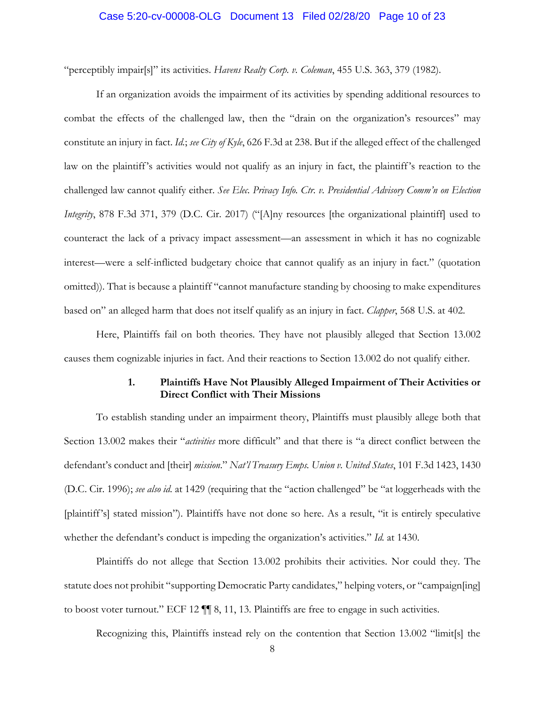### Case 5:20-cv-00008-OLG Document 13 Filed 02/28/20 Page 10 of 23

"perceptibly impair[s]" its activities. *Havens Realty Corp. v. Coleman*, 455 U.S. 363, 379 (1982).

If an organization avoids the impairment of its activities by spending additional resources to combat the effects of the challenged law, then the "drain on the organization's resources" may constitute an injury in fact. *Id.*; *see City of Kyle*, 626 F.3d at 238. But if the alleged effect of the challenged law on the plaintiff's activities would not qualify as an injury in fact, the plaintiff's reaction to the challenged law cannot qualify either. *See Elec. Privacy Info. Ctr. v. Presidential Advisory Comm'n on Election Integrity*, 878 F.3d 371, 379 (D.C. Cir. 2017) ("[A]ny resources [the organizational plaintiff] used to counteract the lack of a privacy impact assessment—an assessment in which it has no cognizable interest—were a self-inflicted budgetary choice that cannot qualify as an injury in fact." (quotation omitted)). That is because a plaintiff "cannot manufacture standing by choosing to make expenditures based on" an alleged harm that does not itself qualify as an injury in fact. *Clapper*, 568 U.S. at 402.

Here, Plaintiffs fail on both theories. They have not plausibly alleged that Section 13.002 causes them cognizable injuries in fact. And their reactions to Section 13.002 do not qualify either.

## **1. Plaintiffs Have Not Plausibly Alleged Impairment of Their Activities or Direct Conflict with Their Missions**

To establish standing under an impairment theory, Plaintiffs must plausibly allege both that Section 13.002 makes their "*activities* more difficult" and that there is "a direct conflict between the defendant's conduct and [their] *mission*." *Nat'l Treasury Emps. Union v. United States*, 101 F.3d 1423, 1430 (D.C. Cir. 1996); *see also id.* at 1429 (requiring that the "action challenged" be "at loggerheads with the [plaintiff's] stated mission"). Plaintiffs have not done so here. As a result, "it is entirely speculative whether the defendant's conduct is impeding the organization's activities." *Id.* at 1430.

Plaintiffs do not allege that Section 13.002 prohibits their activities. Nor could they. The statute does not prohibit "supporting Democratic Party candidates," helping voters, or "campaign[ing] to boost voter turnout." ECF 12 ¶¶ 8, 11, 13. Plaintiffs are free to engage in such activities.

Recognizing this, Plaintiffs instead rely on the contention that Section 13.002 "limit[s] the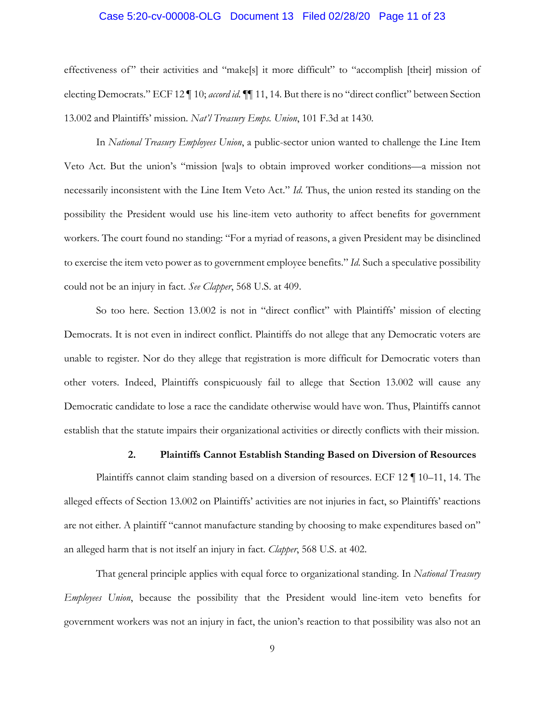#### Case 5:20-cv-00008-OLG Document 13 Filed 02/28/20 Page 11 of 23

effectiveness of" their activities and "make[s] it more difficult" to "accomplish [their] mission of electing Democrats." ECF 12 ¶ 10; *accord id.* ¶¶ 11, 14. But there is no "direct conflict" between Section 13.002 and Plaintiffs' mission. *Nat'l Treasury Emps. Union*, 101 F.3d at 1430.

In *National Treasury Employees Union*, a public-sector union wanted to challenge the Line Item Veto Act. But the union's "mission [wa]s to obtain improved worker conditions—a mission not necessarily inconsistent with the Line Item Veto Act." *Id.* Thus, the union rested its standing on the possibility the President would use his line-item veto authority to affect benefits for government workers. The court found no standing: "For a myriad of reasons, a given President may be disinclined to exercise the item veto power as to government employee benefits." *Id.* Such a speculative possibility could not be an injury in fact. *See Clapper*, 568 U.S. at 409.

So too here. Section 13.002 is not in "direct conflict" with Plaintiffs' mission of electing Democrats. It is not even in indirect conflict. Plaintiffs do not allege that any Democratic voters are unable to register. Nor do they allege that registration is more difficult for Democratic voters than other voters. Indeed, Plaintiffs conspicuously fail to allege that Section 13.002 will cause any Democratic candidate to lose a race the candidate otherwise would have won. Thus, Plaintiffs cannot establish that the statute impairs their organizational activities or directly conflicts with their mission.

#### **2. Plaintiffs Cannot Establish Standing Based on Diversion of Resources**

Plaintiffs cannot claim standing based on a diversion of resources. ECF 12 ¶ 10–11, 14. The alleged effects of Section 13.002 on Plaintiffs' activities are not injuries in fact, so Plaintiffs' reactions are not either. A plaintiff "cannot manufacture standing by choosing to make expenditures based on" an alleged harm that is not itself an injury in fact. *Clapper*, 568 U.S. at 402.

That general principle applies with equal force to organizational standing. In *National Treasury Employees Union*, because the possibility that the President would line-item veto benefits for government workers was not an injury in fact, the union's reaction to that possibility was also not an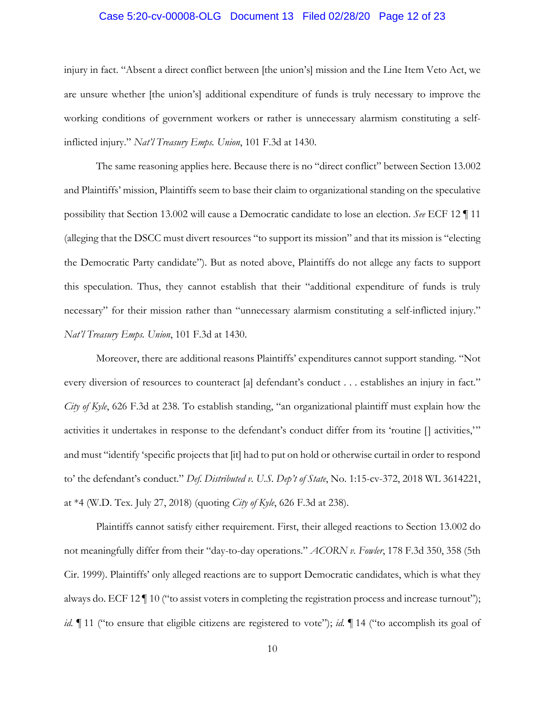### Case 5:20-cv-00008-OLG Document 13 Filed 02/28/20 Page 12 of 23

injury in fact. "Absent a direct conflict between [the union's] mission and the Line Item Veto Act, we are unsure whether [the union's] additional expenditure of funds is truly necessary to improve the working conditions of government workers or rather is unnecessary alarmism constituting a selfinflicted injury." *Nat'l Treasury Emps. Union*, 101 F.3d at 1430.

The same reasoning applies here. Because there is no "direct conflict" between Section 13.002 and Plaintiffs' mission, Plaintiffs seem to base their claim to organizational standing on the speculative possibility that Section 13.002 will cause a Democratic candidate to lose an election. *See* ECF 12 ¶ 11 (alleging that the DSCC must divert resources "to support its mission" and that its mission is "electing the Democratic Party candidate"). But as noted above, Plaintiffs do not allege any facts to support this speculation. Thus, they cannot establish that their "additional expenditure of funds is truly necessary" for their mission rather than "unnecessary alarmism constituting a self-inflicted injury." *Nat'l Treasury Emps. Union*, 101 F.3d at 1430.

Moreover, there are additional reasons Plaintiffs' expenditures cannot support standing. "Not every diversion of resources to counteract [a] defendant's conduct . . . establishes an injury in fact." *City of Kyle*, 626 F.3d at 238. To establish standing, "an organizational plaintiff must explain how the activities it undertakes in response to the defendant's conduct differ from its 'routine [] activities,'" and must "identify 'specific projects that [it] had to put on hold or otherwise curtail in order to respond to' the defendant's conduct." *Def. Distributed v. U.S. Dep't of State*, No. 1:15-cv-372, 2018 WL 3614221, at \*4 (W.D. Tex. July 27, 2018) (quoting *City of Kyle*, 626 F.3d at 238).

Plaintiffs cannot satisfy either requirement. First, their alleged reactions to Section 13.002 do not meaningfully differ from their "day-to-day operations." *ACORN v. Fowler*, 178 F.3d 350, 358 (5th Cir. 1999). Plaintiffs' only alleged reactions are to support Democratic candidates, which is what they always do. ECF 12 ¶ 10 ("to assist voters in completing the registration process and increase turnout"); *id.*  $\llbracket$  11 ("to ensure that eligible citizens are registered to vote"); *id.*  $\llbracket$  14 ("to accomplish its goal of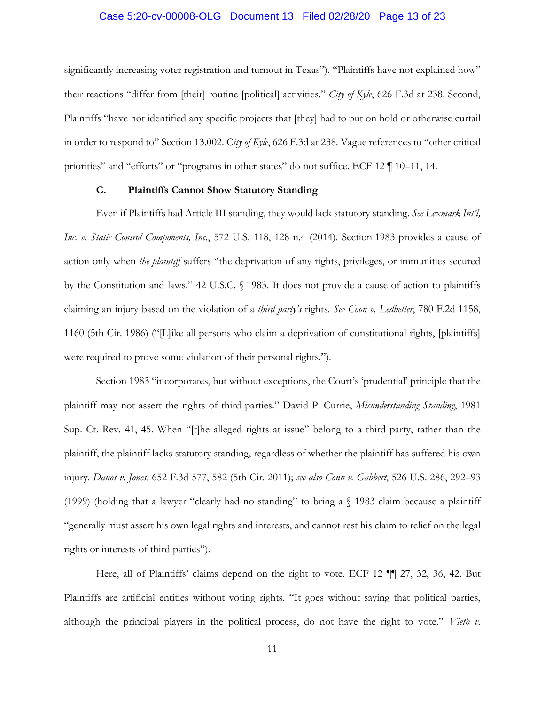### Case 5:20-cv-00008-OLG Document 13 Filed 02/28/20 Page 13 of 23

significantly increasing voter registration and turnout in Texas"). "Plaintiffs have not explained how" their reactions "differ from [their] routine [political] activities." *City of Kyle*, 626 F.3d at 238. Second, Plaintiffs "have not identified any specific projects that [they] had to put on hold or otherwise curtail in order to respond to" Section 13.002. C*ity of Kyle*, 626 F.3d at 238. Vague references to "other critical priorities" and "efforts" or "programs in other states" do not suffice. ECF 12 ¶ 10–11, 14.

#### **C. Plaintiffs Cannot Show Statutory Standing**

Even if Plaintiffs had Article III standing, they would lack statutory standing. *See Lexmark Int'l, Inc. v. Static Control Components, Inc.*, 572 U.S. 118, 128 n.4 (2014). Section 1983 provides a cause of action only when *the plaintiff* suffers "the deprivation of any rights, privileges, or immunities secured by the Constitution and laws." 42 U.S.C. § 1983. It does not provide a cause of action to plaintiffs claiming an injury based on the violation of a *third party's* rights. *See Coon v. Ledbetter*, 780 F.2d 1158, 1160 (5th Cir. 1986) ("[L]ike all persons who claim a deprivation of constitutional rights, [plaintiffs] were required to prove some violation of their personal rights.").

Section 1983 "incorporates, but without exceptions, the Court's 'prudential' principle that the plaintiff may not assert the rights of third parties." David P. Currie, *Misunderstanding Standing*, 1981 Sup. Ct. Rev. 41, 45. When "[t]he alleged rights at issue" belong to a third party, rather than the plaintiff, the plaintiff lacks statutory standing, regardless of whether the plaintiff has suffered his own injury. *Danos v. Jones*, 652 F.3d 577, 582 (5th Cir. 2011); *see also Conn v. Gabbert*, 526 U.S. 286, 292–93 (1999) (holding that a lawyer "clearly had no standing" to bring a § 1983 claim because a plaintiff "generally must assert his own legal rights and interests, and cannot rest his claim to relief on the legal rights or interests of third parties").

Here, all of Plaintiffs' claims depend on the right to vote. ECF 12 ¶¶ 27, 32, 36, 42. But Plaintiffs are artificial entities without voting rights. "It goes without saying that political parties, although the principal players in the political process, do not have the right to vote." *Vieth v.*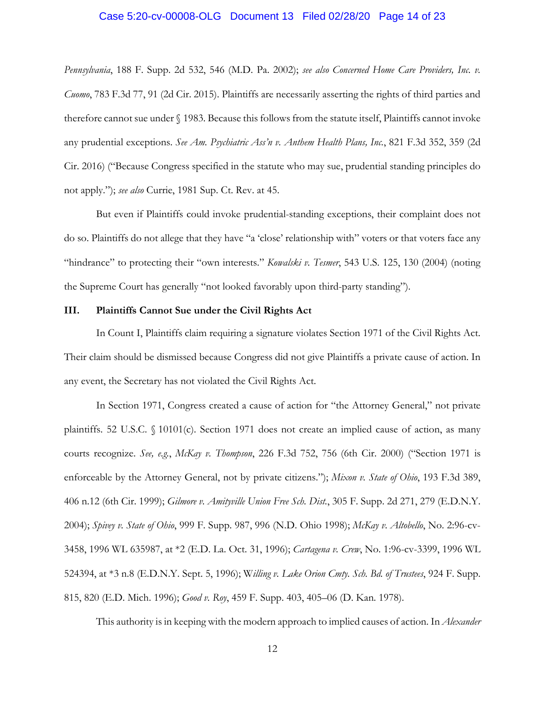# Case 5:20-cv-00008-OLG Document 13 Filed 02/28/20 Page 14 of 23

*Pennsylvania*, 188 F. Supp. 2d 532, 546 (M.D. Pa. 2002); *see also Concerned Home Care Providers, Inc. v. Cuomo*, 783 F.3d 77, 91 (2d Cir. 2015). Plaintiffs are necessarily asserting the rights of third parties and therefore cannot sue under § 1983. Because this follows from the statute itself, Plaintiffs cannot invoke any prudential exceptions. *See Am. Psychiatric Ass'n v. Anthem Health Plans, Inc.*, 821 F.3d 352, 359 (2d Cir. 2016) ("Because Congress specified in the statute who may sue, prudential standing principles do not apply."); *see also* Currie, 1981 Sup. Ct. Rev. at 45.

But even if Plaintiffs could invoke prudential-standing exceptions, their complaint does not do so. Plaintiffs do not allege that they have "a 'close' relationship with" voters or that voters face any "hindrance" to protecting their "own interests." *Kowalski v. Tesmer*, 543 U.S. 125, 130 (2004) (noting the Supreme Court has generally "not looked favorably upon third-party standing").

### **III. Plaintiffs Cannot Sue under the Civil Rights Act**

In Count I, Plaintiffs claim requiring a signature violates Section 1971 of the Civil Rights Act. Their claim should be dismissed because Congress did not give Plaintiffs a private cause of action. In any event, the Secretary has not violated the Civil Rights Act.

In Section 1971, Congress created a cause of action for "the Attorney General," not private plaintiffs. 52 U.S.C. § 10101(c). Section 1971 does not create an implied cause of action, as many courts recognize. *See, e.g.*, *McKay v. Thompson*, 226 F.3d 752, 756 (6th Cir. 2000) ("Section 1971 is enforceable by the Attorney General, not by private citizens."); *Mixon v. State of Ohio*, 193 F.3d 389, 406 n.12 (6th Cir. 1999); *Gilmore v. Amityville Union Free Sch. Dist.*, 305 F. Supp. 2d 271, 279 (E.D.N.Y. 2004); *Spivey v. State of Ohio*, 999 F. Supp. 987, 996 (N.D. Ohio 1998); *McKay v. Altobello*, No. 2:96-cv-3458, 1996 WL 635987, at \*2 (E.D. La. Oct. 31, 1996); *Cartagena v. Crew*, No. 1:96-cv-3399, 1996 WL 524394, at \*3 n.8 (E.D.N.Y. Sept. 5, 1996); W*illing v. Lake Orion Cmty. Sch. Bd. of Trustees*, 924 F. Supp. 815, 820 (E.D. Mich. 1996); *Good v. Roy*, 459 F. Supp. 403, 405–06 (D. Kan. 1978).

This authority is in keeping with the modern approach to implied causes of action. In *Alexander*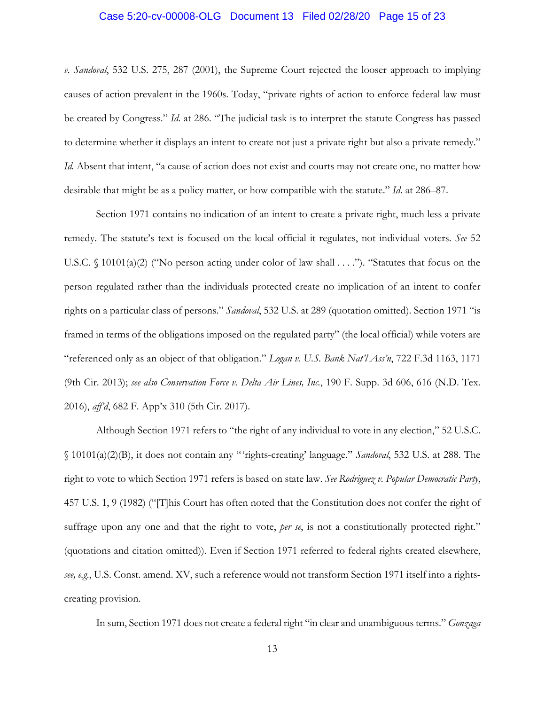### Case 5:20-cv-00008-OLG Document 13 Filed 02/28/20 Page 15 of 23

*v. Sandoval*, 532 U.S. 275, 287 (2001), the Supreme Court rejected the looser approach to implying causes of action prevalent in the 1960s. Today, "private rights of action to enforce federal law must be created by Congress." *Id.* at 286. "The judicial task is to interpret the statute Congress has passed to determine whether it displays an intent to create not just a private right but also a private remedy." *Id.* Absent that intent, "a cause of action does not exist and courts may not create one, no matter how desirable that might be as a policy matter, or how compatible with the statute." *Id.* at 286–87.

Section 1971 contains no indication of an intent to create a private right, much less a private remedy. The statute's text is focused on the local official it regulates, not individual voters. *See* 52 U.S.C. § 10101(a)(2) ("No person acting under color of law shall . . . ."). "Statutes that focus on the person regulated rather than the individuals protected create no implication of an intent to confer rights on a particular class of persons." *Sandoval*, 532 U.S. at 289 (quotation omitted). Section 1971 "is framed in terms of the obligations imposed on the regulated party" (the local official) while voters are "referenced only as an object of that obligation." *Logan v. U.S. Bank Nat'l Ass'n*, 722 F.3d 1163, 1171 (9th Cir. 2013); *see also Conservation Force v. Delta Air Lines, Inc.*, 190 F. Supp. 3d 606, 616 (N.D. Tex. 2016), *aff'd*, 682 F. App'x 310 (5th Cir. 2017).

Although Section 1971 refers to "the right of any individual to vote in any election," 52 U.S.C. § 10101(a)(2)(B), it does not contain any "'rights-creating' language." *Sandoval*, 532 U.S. at 288. The right to vote to which Section 1971 refers is based on state law. *See Rodriguez v. Popular Democratic Party*, 457 U.S. 1, 9 (1982) ("[T]his Court has often noted that the Constitution does not confer the right of suffrage upon any one and that the right to vote, *per se*, is not a constitutionally protected right." (quotations and citation omitted)). Even if Section 1971 referred to federal rights created elsewhere, *see, e.g.*, U.S. Const. amend. XV, such a reference would not transform Section 1971 itself into a rightscreating provision.

In sum, Section 1971 does not create a federal right "in clear and unambiguous terms." *Gonzaga*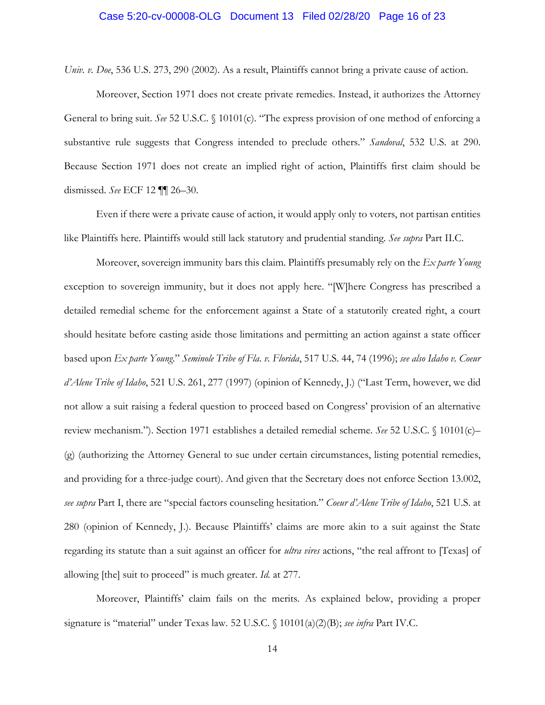### Case 5:20-cv-00008-OLG Document 13 Filed 02/28/20 Page 16 of 23

*Univ. v. Doe*, 536 U.S. 273, 290 (2002). As a result, Plaintiffs cannot bring a private cause of action.

Moreover, Section 1971 does not create private remedies. Instead, it authorizes the Attorney General to bring suit. *See* 52 U.S.C. § 10101(c). "The express provision of one method of enforcing a substantive rule suggests that Congress intended to preclude others." *Sandoval*, 532 U.S. at 290. Because Section 1971 does not create an implied right of action, Plaintiffs first claim should be dismissed. *See* ECF 12 ¶¶ 26–30.

Even if there were a private cause of action, it would apply only to voters, not partisan entities like Plaintiffs here. Plaintiffs would still lack statutory and prudential standing. *See supra* Part II.C.

Moreover, sovereign immunity bars this claim. Plaintiffs presumably rely on the *Ex parte Young* exception to sovereign immunity, but it does not apply here. "[W]here Congress has prescribed a detailed remedial scheme for the enforcement against a State of a statutorily created right, a court should hesitate before casting aside those limitations and permitting an action against a state officer based upon *Ex parte Young*." *Seminole Tribe of Fla. v. Florida*, 517 U.S. 44, 74 (1996); *see also Idaho v. Coeur d'Alene Tribe of Idaho*, 521 U.S. 261, 277 (1997) (opinion of Kennedy, J.) ("Last Term, however, we did not allow a suit raising a federal question to proceed based on Congress' provision of an alternative review mechanism."). Section 1971 establishes a detailed remedial scheme. *See* 52 U.S.C. § 10101(c)– (g) (authorizing the Attorney General to sue under certain circumstances, listing potential remedies, and providing for a three-judge court). And given that the Secretary does not enforce Section 13.002, *see supra* Part I, there are "special factors counseling hesitation." *Coeur d'Alene Tribe of Idaho*, 521 U.S. at 280 (opinion of Kennedy, J.). Because Plaintiffs' claims are more akin to a suit against the State regarding its statute than a suit against an officer for *ultra vires* actions, "the real affront to [Texas] of allowing [the] suit to proceed" is much greater. *Id.* at 277.

Moreover, Plaintiffs' claim fails on the merits. As explained below, providing a proper signature is "material" under Texas law. 52 U.S.C. § 10101(a)(2)(B); *see infra* Part IV.C.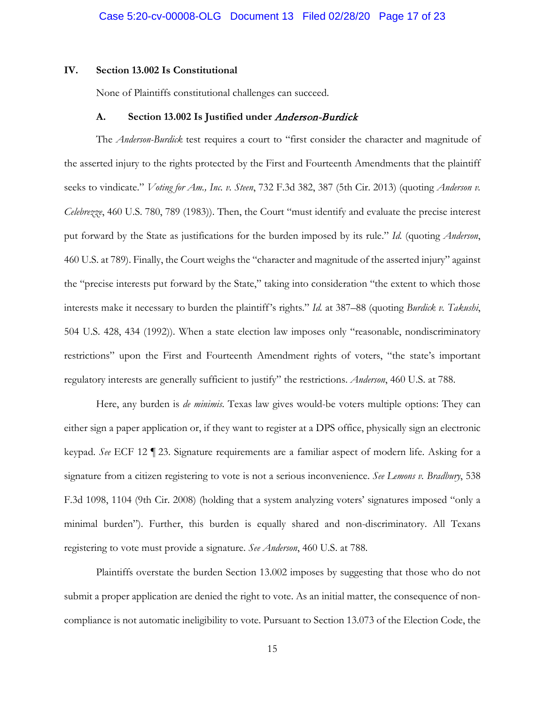#### **IV. Section 13.002 Is Constitutional**

None of Plaintiffs constitutional challenges can succeed.

#### **A. Section 13.002 Is Justified under** Anderson-Burdick

The *Anderson-Burdick* test requires a court to "first consider the character and magnitude of the asserted injury to the rights protected by the First and Fourteenth Amendments that the plaintiff seeks to vindicate." *Voting for Am., Inc. v. Steen*, 732 F.3d 382, 387 (5th Cir. 2013) (quoting *Anderson v. Celebrezze*, 460 U.S. 780, 789 (1983)). Then, the Court "must identify and evaluate the precise interest put forward by the State as justifications for the burden imposed by its rule." *Id.* (quoting *Anderson*, 460 U.S. at 789). Finally, the Court weighs the "character and magnitude of the asserted injury" against the "precise interests put forward by the State," taking into consideration "the extent to which those interests make it necessary to burden the plaintiff's rights." *Id.* at 387–88 (quoting *Burdick v. Takushi*, 504 U.S. 428, 434 (1992)). When a state election law imposes only "reasonable, nondiscriminatory restrictions" upon the First and Fourteenth Amendment rights of voters, "the state's important regulatory interests are generally sufficient to justify" the restrictions. *Anderson*, 460 U.S. at 788.

Here, any burden is *de minimis*. Texas law gives would-be voters multiple options: They can either sign a paper application or, if they want to register at a DPS office, physically sign an electronic keypad. *See* ECF 12 ¶ 23. Signature requirements are a familiar aspect of modern life. Asking for a signature from a citizen registering to vote is not a serious inconvenience. *See Lemons v. Bradbury*, 538 F.3d 1098, 1104 (9th Cir. 2008) (holding that a system analyzing voters' signatures imposed "only a minimal burden"). Further, this burden is equally shared and non-discriminatory. All Texans registering to vote must provide a signature. *See Anderson*, 460 U.S. at 788.

Plaintiffs overstate the burden Section 13.002 imposes by suggesting that those who do not submit a proper application are denied the right to vote. As an initial matter, the consequence of noncompliance is not automatic ineligibility to vote. Pursuant to Section 13.073 of the Election Code, the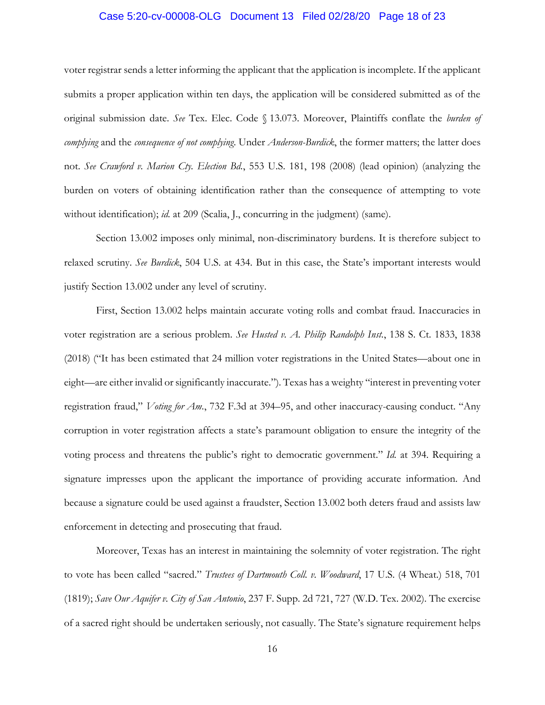# Case 5:20-cv-00008-OLG Document 13 Filed 02/28/20 Page 18 of 23

voter registrar sends a letter informing the applicant that the application is incomplete. If the applicant submits a proper application within ten days, the application will be considered submitted as of the original submission date. *See* Tex. Elec. Code § 13.073. Moreover, Plaintiffs conflate the *burden of complying* and the *consequence of not complying*. Under *Anderson-Burdick*, the former matters; the latter does not. *See Crawford v. Marion Cty. Election Bd.*, 553 U.S. 181, 198 (2008) (lead opinion) (analyzing the burden on voters of obtaining identification rather than the consequence of attempting to vote without identification); *id.* at 209 (Scalia, J., concurring in the judgment) (same).

Section 13.002 imposes only minimal, non-discriminatory burdens. It is therefore subject to relaxed scrutiny. *See Burdick*, 504 U.S. at 434. But in this case, the State's important interests would justify Section 13.002 under any level of scrutiny.

First, Section 13.002 helps maintain accurate voting rolls and combat fraud. Inaccuracies in voter registration are a serious problem. *See Husted v. A. Philip Randolph Inst.*, 138 S. Ct. 1833, 1838 (2018) ("It has been estimated that 24 million voter registrations in the United States—about one in eight—are either invalid or significantly inaccurate."). Texas has a weighty "interest in preventing voter registration fraud," *Voting for Am.*, 732 F.3d at 394–95, and other inaccuracy-causing conduct. "Any corruption in voter registration affects a state's paramount obligation to ensure the integrity of the voting process and threatens the public's right to democratic government." *Id.* at 394. Requiring a signature impresses upon the applicant the importance of providing accurate information. And because a signature could be used against a fraudster, Section 13.002 both deters fraud and assists law enforcement in detecting and prosecuting that fraud.

Moreover, Texas has an interest in maintaining the solemnity of voter registration. The right to vote has been called "sacred." *Trustees of Dartmouth Coll. v. Woodward*, 17 U.S. (4 Wheat.) 518, 701 (1819); *Save Our Aquifer v. City of San Antonio*, 237 F. Supp. 2d 721, 727 (W.D. Tex. 2002). The exercise of a sacred right should be undertaken seriously, not casually. The State's signature requirement helps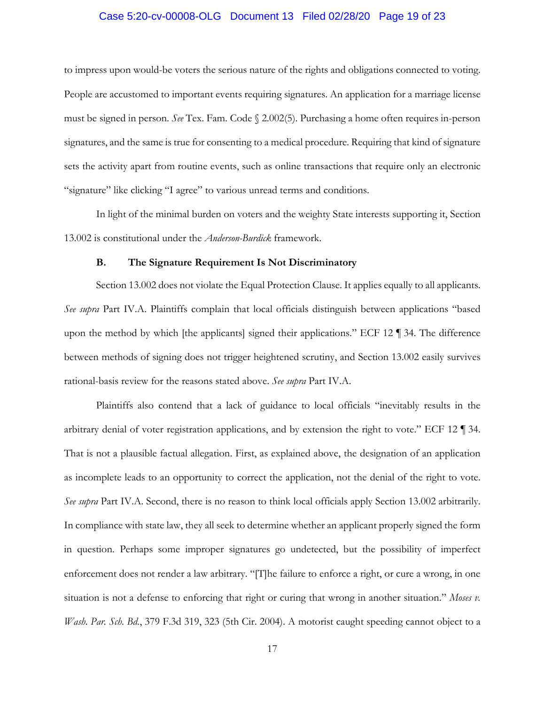### Case 5:20-cv-00008-OLG Document 13 Filed 02/28/20 Page 19 of 23

to impress upon would-be voters the serious nature of the rights and obligations connected to voting. People are accustomed to important events requiring signatures. An application for a marriage license must be signed in person. *See* Tex. Fam. Code § 2.002(5). Purchasing a home often requires in-person signatures, and the same is true for consenting to a medical procedure. Requiring that kind of signature sets the activity apart from routine events, such as online transactions that require only an electronic "signature" like clicking "I agree" to various unread terms and conditions.

In light of the minimal burden on voters and the weighty State interests supporting it, Section 13.002 is constitutional under the *Anderson-Burdick* framework.

#### **B. The Signature Requirement Is Not Discriminatory**

Section 13.002 does not violate the Equal Protection Clause. It applies equally to all applicants. *See supra* Part IV.A. Plaintiffs complain that local officials distinguish between applications "based upon the method by which [the applicants] signed their applications." ECF 12 ¶ 34. The difference between methods of signing does not trigger heightened scrutiny, and Section 13.002 easily survives rational-basis review for the reasons stated above. *See supra* Part IV.A.

Plaintiffs also contend that a lack of guidance to local officials "inevitably results in the arbitrary denial of voter registration applications, and by extension the right to vote." ECF 12 ¶ 34. That is not a plausible factual allegation. First, as explained above, the designation of an application as incomplete leads to an opportunity to correct the application, not the denial of the right to vote. *See supra* Part IV.A. Second, there is no reason to think local officials apply Section 13.002 arbitrarily. In compliance with state law, they all seek to determine whether an applicant properly signed the form in question. Perhaps some improper signatures go undetected, but the possibility of imperfect enforcement does not render a law arbitrary. "[T]he failure to enforce a right, or cure a wrong, in one situation is not a defense to enforcing that right or curing that wrong in another situation." *Moses v. Wash. Par. Sch. Bd.*, 379 F.3d 319, 323 (5th Cir. 2004). A motorist caught speeding cannot object to a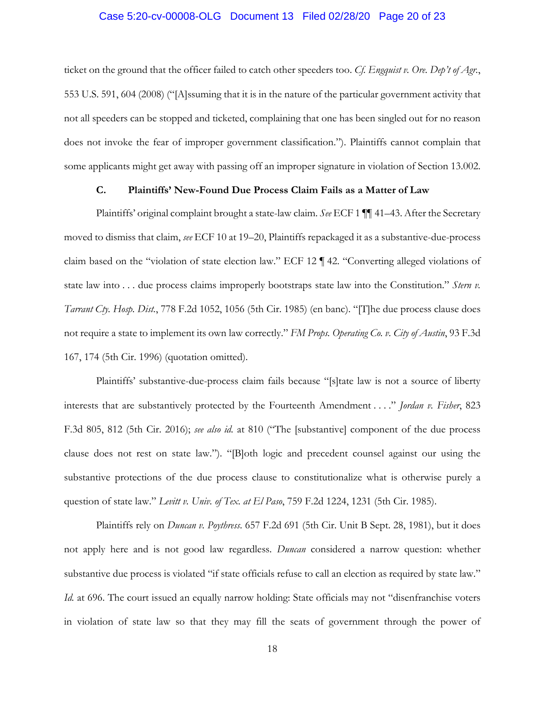### Case 5:20-cv-00008-OLG Document 13 Filed 02/28/20 Page 20 of 23

ticket on the ground that the officer failed to catch other speeders too. *Cf. Engquist v. Ore. Dep't of Agr.*, 553 U.S. 591, 604 (2008) ("[A]ssuming that it is in the nature of the particular government activity that not all speeders can be stopped and ticketed, complaining that one has been singled out for no reason does not invoke the fear of improper government classification."). Plaintiffs cannot complain that some applicants might get away with passing off an improper signature in violation of Section 13.002.

### **C. Plaintiffs' New-Found Due Process Claim Fails as a Matter of Law**

Plaintiffs' original complaint brought a state-law claim. *See* ECF 1 ¶¶ 41–43. After the Secretary moved to dismiss that claim, *see* ECF 10 at 19–20, Plaintiffs repackaged it as a substantive-due-process claim based on the "violation of state election law." ECF 12 ¶ 42. "Converting alleged violations of state law into . . . due process claims improperly bootstraps state law into the Constitution." *Stern v. Tarrant Cty. Hosp. Dist.*, 778 F.2d 1052, 1056 (5th Cir. 1985) (en banc). "[T]he due process clause does not require a state to implement its own law correctly." *FM Props. Operating Co. v. City of Austin*, 93 F.3d 167, 174 (5th Cir. 1996) (quotation omitted).

Plaintiffs' substantive-due-process claim fails because "[s]tate law is not a source of liberty interests that are substantively protected by the Fourteenth Amendment . . . ." *Jordan v. Fisher*, 823 F.3d 805, 812 (5th Cir. 2016); *see also id.* at 810 ("The [substantive] component of the due process clause does not rest on state law."). "[B]oth logic and precedent counsel against our using the substantive protections of the due process clause to constitutionalize what is otherwise purely a question of state law." *Levitt v. Univ. of Tex. at El Paso*, 759 F.2d 1224, 1231 (5th Cir. 1985).

Plaintiffs rely on *Duncan v. Poythress*. 657 F.2d 691 (5th Cir. Unit B Sept. 28, 1981), but it does not apply here and is not good law regardless. *Duncan* considered a narrow question: whether substantive due process is violated "if state officials refuse to call an election as required by state law." *Id.* at 696. The court issued an equally narrow holding: State officials may not "disenfranchise voters in violation of state law so that they may fill the seats of government through the power of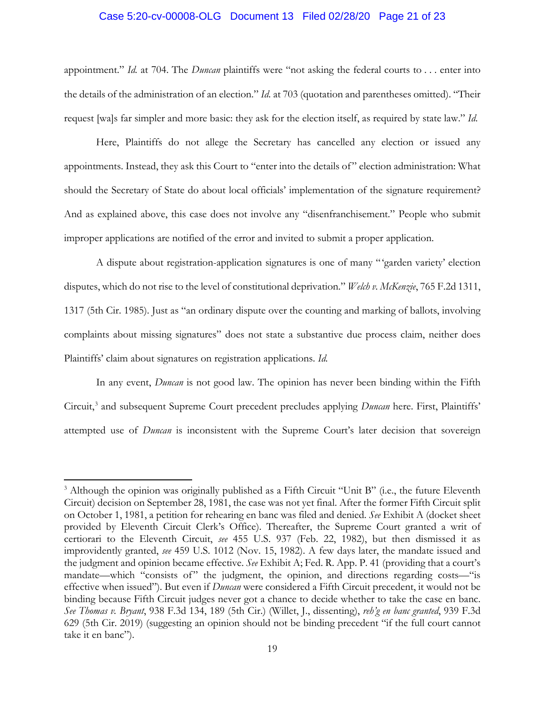### Case 5:20-cv-00008-OLG Document 13 Filed 02/28/20 Page 21 of 23

appointment." *Id.* at 704. The *Duncan* plaintiffs were "not asking the federal courts to . . . enter into the details of the administration of an election." *Id.* at 703 (quotation and parentheses omitted). "Their request [wa]s far simpler and more basic: they ask for the election itself, as required by state law." *Id.*

Here, Plaintiffs do not allege the Secretary has cancelled any election or issued any appointments. Instead, they ask this Court to "enter into the details of" election administration: What should the Secretary of State do about local officials' implementation of the signature requirement? And as explained above, this case does not involve any "disenfranchisement." People who submit improper applications are notified of the error and invited to submit a proper application.

A dispute about registration-application signatures is one of many " 'garden variety' election disputes, which do not rise to the level of constitutional deprivation." *Welch v. McKenzie*, 765 F.2d 1311, 1317 (5th Cir. 1985). Just as "an ordinary dispute over the counting and marking of ballots, involving complaints about missing signatures" does not state a substantive due process claim, neither does Plaintiffs' claim about signatures on registration applications. *Id.*

In any event, *Duncan* is not good law. The opinion has never been binding within the Fifth Circuit,<sup>3</sup> and subsequent Supreme Court precedent precludes applying *Duncan* here. First, Plaintiffs' attempted use of *Duncan* is inconsistent with the Supreme Court's later decision that sovereign

 $\overline{a}$ 

 $3$  Although the opinion was originally published as a Fifth Circuit "Unit B" (i.e., the future Eleventh Circuit) decision on September 28, 1981, the case was not yet final. After the former Fifth Circuit split on October 1, 1981, a petition for rehearing en banc was filed and denied. *See* Exhibit A (docket sheet provided by Eleventh Circuit Clerk's Office). Thereafter, the Supreme Court granted a writ of certiorari to the Eleventh Circuit, *see* 455 U.S. 937 (Feb. 22, 1982), but then dismissed it as improvidently granted, *see* 459 U.S. 1012 (Nov. 15, 1982). A few days later, the mandate issued and the judgment and opinion became effective. *See* Exhibit A; Fed. R. App. P. 41 (providing that a court's mandate—which "consists of" the judgment, the opinion, and directions regarding costs—"is effective when issued"). But even if *Duncan* were considered a Fifth Circuit precedent, it would not be binding because Fifth Circuit judges never got a chance to decide whether to take the case en banc. *See Thomas v. Bryant*, 938 F.3d 134, 189 (5th Cir.) (Willet, J., dissenting), *reh'g en banc granted*, 939 F.3d 629 (5th Cir. 2019) (suggesting an opinion should not be binding precedent "if the full court cannot take it en banc").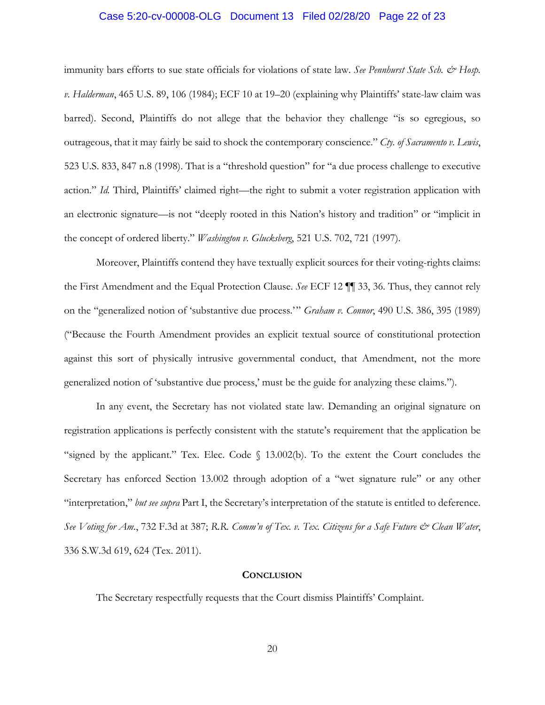### Case 5:20-cv-00008-OLG Document 13 Filed 02/28/20 Page 22 of 23

immunity bars efforts to sue state officials for violations of state law. *See Pennhurst State Sch. & Hosp. v. Halderman*, 465 U.S. 89, 106 (1984); ECF 10 at 19–20 (explaining why Plaintiffs' state-law claim was barred). Second, Plaintiffs do not allege that the behavior they challenge "is so egregious, so outrageous, that it may fairly be said to shock the contemporary conscience." *Cty. of Sacramento v. Lewis*, 523 U.S. 833, 847 n.8 (1998). That is a "threshold question" for "a due process challenge to executive action." *Id.* Third, Plaintiffs' claimed right—the right to submit a voter registration application with an electronic signature—is not "deeply rooted in this Nation's history and tradition" or "implicit in the concept of ordered liberty." *Washington v. Glucksberg*, 521 U.S. 702, 721 (1997).

Moreover, Plaintiffs contend they have textually explicit sources for their voting-rights claims: the First Amendment and the Equal Protection Clause. *See* ECF 12 ¶¶ 33, 36. Thus, they cannot rely on the "generalized notion of 'substantive due process.'" *Graham v. Connor*, 490 U.S. 386, 395 (1989) ("Because the Fourth Amendment provides an explicit textual source of constitutional protection against this sort of physically intrusive governmental conduct, that Amendment, not the more generalized notion of 'substantive due process,' must be the guide for analyzing these claims.").

In any event, the Secretary has not violated state law. Demanding an original signature on registration applications is perfectly consistent with the statute's requirement that the application be "signed by the applicant." Tex. Elec. Code § 13.002(b). To the extent the Court concludes the Secretary has enforced Section 13.002 through adoption of a "wet signature rule" or any other "interpretation," *but see supra* Part I, the Secretary's interpretation of the statute is entitled to deference. *See Voting for Am.*, 732 F.3d at 387; R.R. Comm'n of Tex. v. Tex. Citizens for a Safe Future & Clean Water, 336 S.W.3d 619, 624 (Tex. 2011).

#### **CONCLUSION**

The Secretary respectfully requests that the Court dismiss Plaintiffs' Complaint.